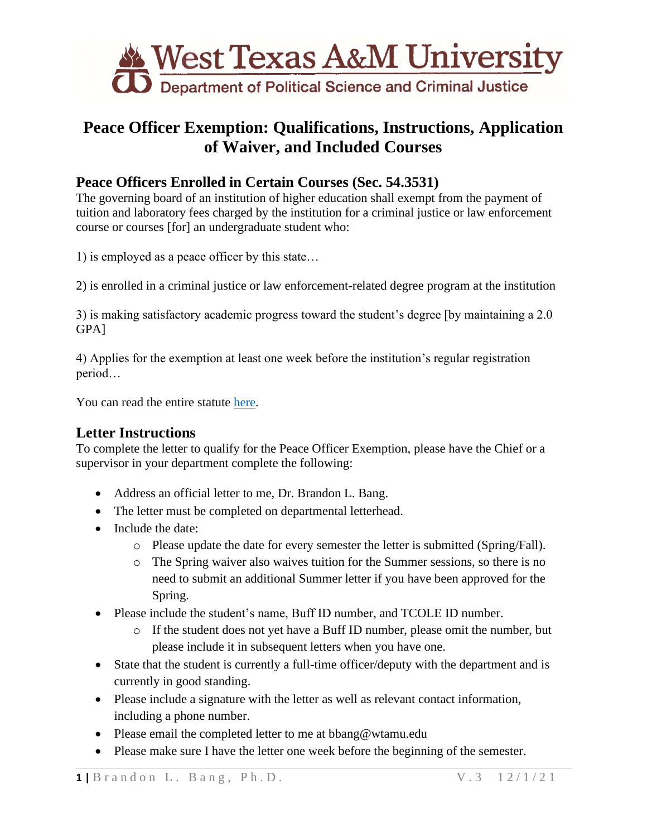

# **Peace Officer Exemption: Qualifications, Instructions, Application of Waiver, and Included Courses**

## **Peace Officers Enrolled in Certain Courses (Sec. 54.3531)**

The governing board of an institution of higher education shall exempt from the payment of tuition and laboratory fees charged by the institution for a criminal justice or law enforcement course or courses [for] an undergraduate student who:

1) is employed as a peace officer by this state…

2) is enrolled in a criminal justice or law enforcement-related degree program at the institution

3) is making satisfactory academic progress toward the student's degree [by maintaining a 2.0 GPA]

4) Applies for the exemption at least one week before the institution's regular registration period…

You can read the entire statute [here.](https://statutes.capitol.texas.gov/Docs/ED/htm/ED.54.htm#54.3531)

#### **Letter Instructions**

To complete the letter to qualify for the Peace Officer Exemption, please have the Chief or a supervisor in your department complete the following:

- Address an official letter to me, Dr. Brandon L. Bang.
- The letter must be completed on departmental letterhead.
- Include the date:
	- o Please update the date for every semester the letter is submitted (Spring/Fall).
	- o The Spring waiver also waives tuition for the Summer sessions, so there is no need to submit an additional Summer letter if you have been approved for the Spring.
- Please include the student's name, Buff ID number, and TCOLE ID number.
	- o If the student does not yet have a Buff ID number, please omit the number, but please include it in subsequent letters when you have one.
- State that the student is currently a full-time officer/deputy with the department and is currently in good standing.
- Please include a signature with the letter as well as relevant contact information, including a phone number.
- Please email the completed letter to me at bbang@wtamu.edu
- Please make sure I have the letter one week before the beginning of the semester.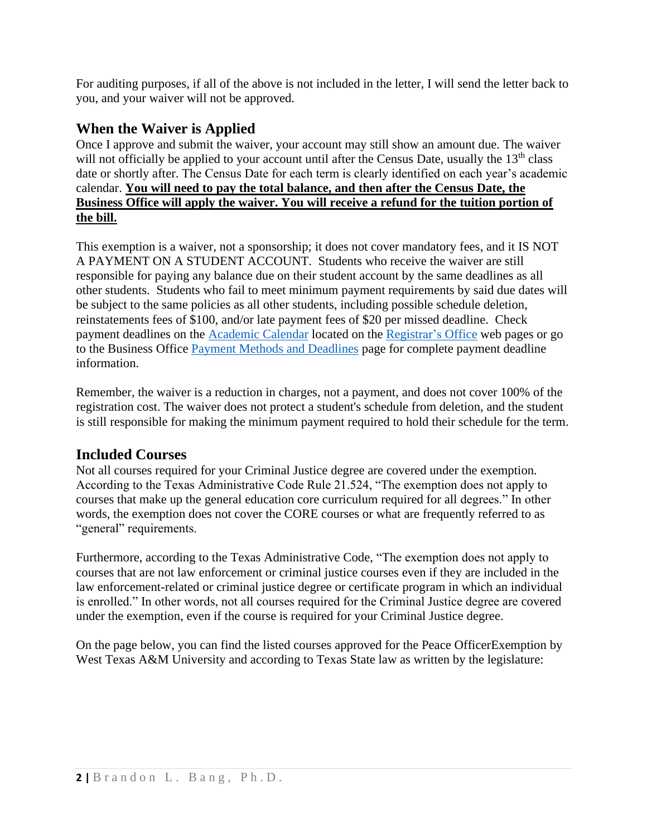For auditing purposes, if all of the above is not included in the letter, I will send the letter back to you, and your waiver will not be approved.

### **When the Waiver is Applied**

Once I approve and submit the waiver, your account may still show an amount due. The waiver will not officially be applied to your account until after the Census Date, usually the  $13<sup>th</sup>$  class date or shortly after. The Census Date for each term is clearly identified on each year's academic calendar. **You will need to pay the total balance, and then after the Census Date, the Business Office will apply the waiver. You will receive a refund for the tuition portion of the bill.** 

This exemption is a waiver, not a sponsorship; it does not cover mandatory fees, and it IS NOT A PAYMENT ON A STUDENT ACCOUNT. Students who receive the waiver are still responsible for paying any balance due on their student account by the same deadlines as all other students. Students who fail to meet minimum payment requirements by said due dates will be subject to the same policies as all other students, including possible schedule deletion, reinstatements fees of \$100, and/or late payment fees of \$20 per missed deadline. Check payment deadlines on the [Academic Calendar](https://www.wtamu.edu/student-support/registrar/academic-calendars.html) located on the [Registrar's Office](https://www.wtamu.edu/student-support/registrar/index.html) web pages or go to the Business Office [Payment Methods and Deadlines](https://www.wtamu.edu/business-finance/business-office/payment-methods-and-deadlines.html) page for complete payment deadline information.

Remember, the waiver is a reduction in charges, not a payment, and does not cover 100% of the registration cost. The waiver does not protect a student's schedule from deletion, and the student is still responsible for making the minimum payment required to hold their schedule for the term.

#### **Included Courses**

Not all courses required for your Criminal Justice degree are covered under the exemption. According to the Texas Administrative Code Rule 21.524, "The exemption does not apply to courses that make up the general education core curriculum required for all degrees." In other words, the exemption does not cover the CORE courses or what are frequently referred to as "general" requirements.

Furthermore, according to the Texas Administrative Code, "The exemption does not apply to courses that are not law enforcement or criminal justice courses even if they are included in the law enforcement-related or criminal justice degree or certificate program in which an individual is enrolled." In other words, not all courses required for the Criminal Justice degree are covered under the exemption, even if the course is required for your Criminal Justice degree.

On the page below, you can find the listed courses approved for the Peace OfficerExemption by West Texas A&M University and according to Texas State law as written by the legislature: